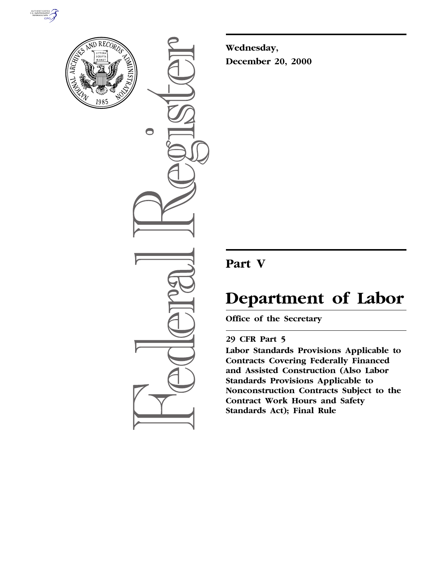



 $\bigcirc$ 

**Wednesday, December 20, 2000**

## **Part V**

# **Department of Labor**

**Office of the Secretary**

### **29 CFR Part 5**

**Labor Standards Provisions Applicable to Contracts Covering Federally Financed and Assisted Construction (Also Labor Standards Provisions Applicable to Nonconstruction Contracts Subject to the Contract Work Hours and Safety Standards Act); Final Rule**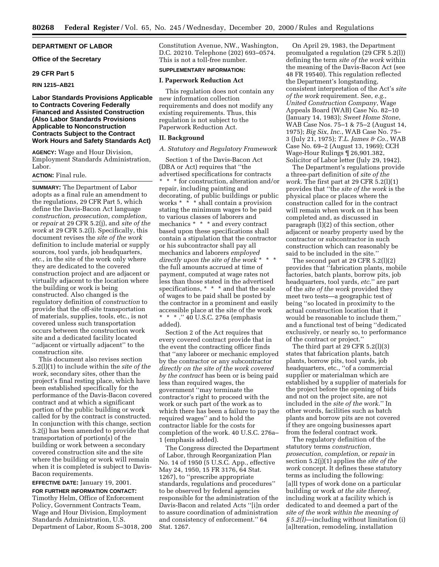#### **DEPARTMENT OF LABOR**

#### **Office of the Secretary**

#### **29 CFR Part 5**

#### **RIN 1215–AB21**

#### **Labor Standards Provisions Applicable to Contracts Covering Federally Financed and Assisted Construction (Also Labor Standards Provisions Applicable to Nonconstruction Contracts Subject to the Contract Work Hours and Safety Standards Act)**

**AGENCY:** Wage and Hour Division, Employment Standards Administration, Labor.

#### **ACTION:** Final rule.

**SUMMARY:** The Department of Labor adopts as a final rule an amendment to the regulations, 29 CFR Part 5, which define the Davis-Bacon Act language *construction, prosecution, completion*, or *repair* at 29 CFR 5.2(j), and *site of the work* at 29 CFR 5.2(l). Specifically, this document revises the *site of the work* definition to include material or supply sources, tool yards, job headquarters, *etc.*, in the site of the work only where they are dedicated to the covered construction project and are adjacent or virtually adjacent to the location where the building or work is being constructed. Also changed is the regulatory definition of *construction* to provide that the off-site transportation of materials, supplies, tools, etc., is not covered unless such transportation occurs between the construction work site and a dedicated facility located ''adjacent or virtually adjacent'' to the construction site.

This document also revises section 5.2(l)(1) to include within the *site of the work*, secondary sites, other than the project's final resting place, which have been established specifically for the performance of the Davis-Bacon covered contract and at which a significant portion of the public building or work called for by the contract is constructed. In conjunction with this change, section 5.2(j) has been amended to provide that transportation of portion(s) of the building or work between a secondary covered construction site and the site where the building or work will remain when it is completed is subject to Davis-Bacon requirements.

#### **EFFECTIVE DATE:** January 19, 2001.

**FOR FURTHER INFORMATION CONTACT:** Timothy Helm, Office of Enforcement Policy, Government Contracts Team, Wage and Hour Division, Employment Standards Administration, U.S. Department of Labor, Room S–3018, 200 Constitution Avenue, NW., Washington, D.C. 20210. Telephone (202) 693–0574. This is not a toll-free number.

#### **SUPPLEMENTARY INFORMATION:**

#### **I. Paperwork Reduction Act**

This regulation does not contain any new information collection requirements and does not modify any existing requirements. Thus, this regulation is not subject to the Paperwork Reduction Act.

#### **II. Background**

#### *A. Statutory and Regulatory Framework*

Section 1 of the Davis-Bacon Act (DBA or Act) requires that ''the advertised specifications for contracts \* \* \* for construction, alteration and/or repair, including painting and decorating, of public buildings or public works \* \* \* shall contain a provision stating the minimum wages to be paid to various classes of laborers and mechanics \* \* \* and every contract based upon these specifications shall contain a stipulation that the contractor or his subcontractor shall pay all mechanics and laborers *employed directly upon the site of the work* \*\*\* the full amounts accrued at time of payment, computed at wage rates not less than those stated in the advertised specifications, \* \* \* and that the scale of wages to be paid shall be posted by the contractor in a prominent and easily accessible place at the site of the work \* \* \* .'' 40 U.S.C. 276a (emphasis added).

Section 2 of the Act requires that every covered contract provide that in the event the contracting officer finds that ''any laborer or mechanic employed by the contractor or any subcontractor *directly on the site of the work covered by the contract* has been or is being paid less than required wages, the government ''may terminate the contractor's right to proceed with the work or such part of the work as to which there has been a failure to pay the required wages'' and to hold the contractor liable for the costs for completion of the work. 40 U.S.C. 276a– 1 (emphasis added).

The Congress directed the Department of Labor, through Reorganization Plan No. 14 of 1950 (5 U.S.C. App., effective May 24, 1950, 15 FR 3176, 64 Stat. 1267), to ''prescribe appropriate standards, regulations and procedures'' to be observed by federal agencies responsible for the administration of the Davis-Bacon and related Acts ''[i]n order to assure coordination of administration and consistency of enforcement.'' 64 Stat. 1267.

On April 29, 1983, the Department promulgated a regulation (29 CFR 5.2(l)) defining the term *site of the work* within the meaning of the Davis-Bacon Act (see 48 FR 19540). This regulation reflected the Department's longstanding, consistent interpretation of the Act's *site of the work* requirement. See, *e.g., United Construction Company*, Wage Appeals Board (WAB) Case No. 82–10 (January 14, 1983); *Sweet Home Stone*, WAB Case Nos. 75–1 & 75–2 (August 14, 1975); *Big Six, Inc.*, WAB Case No. 75– 3 (July 21, 1975); *T.L. James & Co.*, WAB Case No. 69–2 (August 13, 1969); CCH Wage-Hour Rulings ¶ 26,901.382, Solicitor of Labor letter (July 29, 1942).

The Department's regulations provide a three-part definition of *site of the work*. The first part at 29 CFR 5.2(l)(1) provides that ''the *site of the work* is the physical place or places where the construction called for in the contract will remain when work on it has been completed and, as discussed in paragraph (l)(2) of this section, other adjacent or nearby property used by the contractor or subcontractor in such construction which can reasonably be said to be included in the site.''

The second part at 29 CFR 5.2(l)(2) provides that ''fabrication plants, mobile factories, batch plants, borrow pits, job headquarters, tool yards, *etc*.'' are part of the *site of the work* provided they meet two tests—a geographic test of being ''so located in proximity to the actual construction location that it would be reasonable to include them,'' and a functional test of being ''dedicated exclusively, or nearly so, to performance of the contract or project.''

The third part at 29 CFR 5.2(l)(3) states that fabrication plants, batch plants, borrow pits, tool yards, job headquarters, etc., ''of a commercial supplier or materialman which are established by a supplier of materials for the project before the opening of bids and not on the project site, are not included in the *site of the work*.'' In other words, facilities such as batch plants and borrow pits are not covered if they are ongoing businesses apart from the federal contract work.

The regulatory definition of the statutory terms *construction, prosecution, completion*, or *repair* in section 5.2(j)(1) applies the *site of the work* concept. It defines these statutory terms as including the following: [a]ll types of work done on a particular building or work *at the site thereof*, including work at a facility which is dedicated to and deemed a part of the *site of the work within the meaning of § 5.2(l)*—including without limitation (i) [a]lteration, remodeling, installation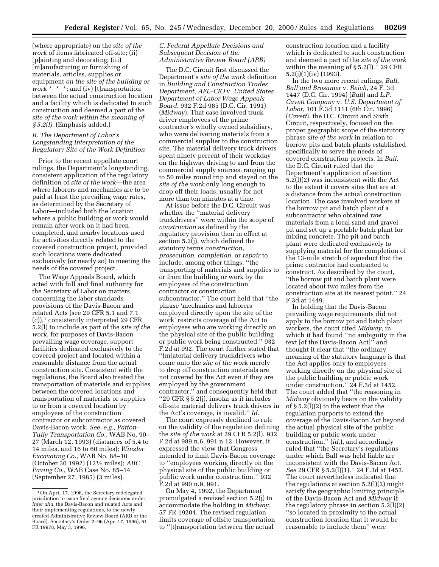(where appropriate) on the *site of the work* of items fabricated off-site; (ii) [p]ainting and decorating; (iii) [m]anufacturing or furnishing of materials, articles, supplies or equipment *on the site of the building or work* \* \* \*; and (iv) [t]ransportation between the actual construction location and a facility which is dedicated to such construction and deemed a part of the *site of the work within the meaning of § 5.2(l)*. (Emphasis added.)

#### *B. The Department of Labor's Longstanding Interpretation of the Regulatory Site of the Work Definition*

Prior to the recent appellate court rulings, the Department's longstanding, consistent application of the regulatory definition of *site of the work*—the area where laborers and mechanics are to be paid at least the prevailing wage rates, as determined by the Secretary of Labor—included both the location where a public building or work would remain after work on it had been completed, and nearby locations used for activities directly related to the covered construction project, provided such locations were dedicated exclusively (or nearly so) to meeting the needs of the covered project.

The Wage Appeals Board, which acted with full and final authority for the Secretary of Labor on matters concerning the labor standards provisions of the Davis-Bacon and related Acts (see 29 CFR 5.1 and 7.1 (c)),1 consistently interpreted 29 CFR 5.2(l) to include as part of the *site of the work*, for purposes of Davis-Bacon prevailing wage coverage, support facilities dedicated exclusively to the covered project and located within a reasonable distance from the actual construction site. Consistent with the regulations, the Board also treated the transportation of materials and supplies between the covered locations and transportation of materials or supplies to or from a covered location by employees of the construction contractor or subcontractor as covered Davis-Bacon work. *See, e.g., Patton-Tully Transportation Co.*, WAB No. 90– 27 (March 12, 1993) (distances of 5.4 to 14 miles, and 16 to 60 miles); *Winzler Excavating Co.*, WAB No. 88–10 (October 30 1992) (121⁄2 miles); *ABC Paving Co.*, WAB Case No. 85–14 (September 27, 1985) (3 miles).

#### *C. Federal Appellate Decisions and Subsequent Decision of the Administrative Review Board (ARB)*

The D.C. Circuit first discussed the Department's *site of the work* definition in *Building and Construction Trades Department, AFL–CIO* v. *United States Department of Labor Wage Appeals Board*, 932 F.2d 985 (D.C. Cir. 1991) (*Midway*). That case involved truck driver employees of the prime contractor's wholly owned subsidiary, who were delivering materials from a commercial supplier to the construction site. The material delivery truck drivers spent ninety percent of their workday on the highway driving to and from the commercial supply sources, ranging up to 50 miles round trip and stayed on the *site of the work* only long enough to drop off their loads, usually for not more than ten minutes at a time.

At issue before the D.C. Circuit was whether the ''material delivery truckdrivers'' were within the scope of *construction* as defined by the regulatory provision then in effect at section 5.2(j), which defined the statutory terms *construction, prosecution, completion*, or *repair* to include, among other things, ''the transporting of materials and supplies to or from the building or work by the employees of the construction contractor or construction subcontractor.'' The court held that ''the phrase 'mechanics and laborers employed directly upon the site of the work' restricts coverage of the Act to employees who are working directly on the physical site of the public building or public work being constructed.'' 932 F.2d at 992. The court further stated that ''[m]aterial delivery truckdrivers who come onto the *site of the work* merely to drop off construction materials are not covered by the Act even if they are employed by the government contractor,'' and consequently held that ''29 CFR § 5.2(j), insofar as it includes off-site material delivery truck drivers in the Act's coverage, is invalid.'' *Id*.

The court expressly declined to rule on the validity of the regulation defining the *site of the work* at 29 CFR 5.2(l). 932 F.2d at 989 n.6, 991 n.12. However, it expressed the view that Congress intended to limit Davis-Bacon coverage to ''employees working directly on the physical site of the public building or public work under construction.'' 932 F.2d at 990 n.9, 991.

On May 4, 1992, the Department promulgated a revised section 5.2(j) to accommodate the holding in *Midway*. 57 FR 19204. The revised regulation limits coverage of offsite transportation to ''[t]ransportation between the actual

construction location and a facility which is dedicated to such construction and deemed a part of the *site of the work* within the meaning of § 5.2(l).'' 29 CFR  $5.2(j)(1)(iv)$  (1993).

In the two more recent rulings, *Ball, Ball and Brosamer* v. *Reich*, 24 F. 3d 1447 (D.C. Cir. 1994) (*Ball*) and *L.P. Cavett Company* v. *U.S. Department of Labor*, 101 F.3d 1111 (6th Cir. 1996) (*Cavett*), the D.C. Circuit and Sixth Circuit, respectively, focused on the proper geographic scope of the statutory phrase *site of the work* in relation to borrow pits and batch plants established specifically to serve the needs of covered construction projects. In *Ball*, the D.C. Circuit ruled that the Department's application of section 5.2(l)(2) was inconsistent with the Act to the extent it covers sites that are at a distance from the actual construction location. The case involved workers at the borrow pit and batch plant of a subcontractor who obtained raw materials from a local sand and gravel pit and set up a portable batch plant for mixing concrete. The pit and batch plant were dedicated exclusively to supplying material for the completion of the 13-mile stretch of aqueduct that the prime contractor had contracted to construct. As described by the court, ''the borrow pit and batch plant were located about two miles from the construction site at its nearest point.'' 24 F.3d at 1449.

In holding that the Davis-Bacon prevailing wage requirements did not apply to the borrow pit and batch plant workers, the court cited *Midway*, in which it had found ''no ambiguity in the text [of the Davis-Bacon Act]'' and thought it clear that ''the ordinary meaning of the statutory language is that the Act applies only to employees working directly on the physical site of the public building or public work under construction.'' 24 F.3d at 1452. The court added that ''the reasoning in *Midway* obviously bears on the validity of § 5.2(l)(2) to the extent that the regulation purports to extend the coverage of the Davis-Bacon Act beyond the actual physical site of the public building or public work under construction,'' (*id.*), and accordingly ruled that ''the Secretary's regulations under which Ball was held liable are inconsistent with the Davis-Bacon Act. *See* 29 CFR § 5.2(l)(1).'' 24 F.3d at 1453. The court nevertheless indicated that the regulations at section 5.2(l)(2) might satisfy the geographic limiting principle of the Davis-Bacon Act and *Midway* if the regulatory phrase in section 5.2(l)(2) ''so located in proximity to the actual construction location that it would be reasonable to include them'' were

<sup>1</sup>On April 17, 1996, the Secretary redelegated jurisdiction to issue final agency decisions under, *inter alia,* the Davis-Bacon and related Acts and their implementing regulations, to the newly created Administrative Review Board (ARB or the Board). Secretary's Order 2–96 (Apr. 17, 1996), 61 FR 19978, May 3, 1996.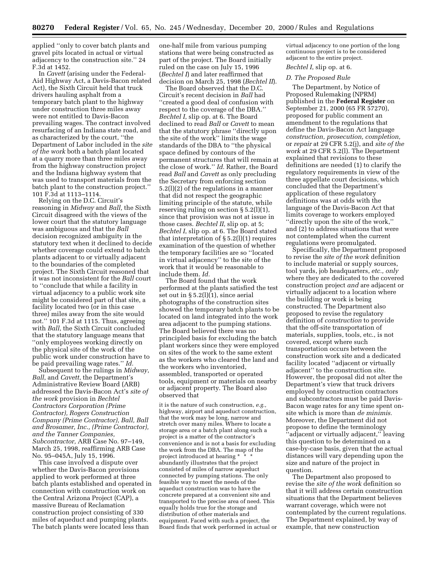applied ''only to cover batch plants and gravel pits located in actual or virtual adjacency to the construction site.'' 24 F.3d at 1452.

In *Cavett* (arising under the Federal-Aid Highway Act, a Davis-Bacon related Act), the Sixth Circuit held that truck drivers hauling asphalt from a temporary batch plant to the highway under construction three miles away were not entitled to Davis-Bacon prevailing wages. The contract involved resurfacing of an Indiana state road, and as characterized by the court, ''the Department of Labor included in the *site of the work* both a batch plant located at a quarry more than three miles away from the highway construction project and the Indiana highway system that was used to transport materials from the batch plant to the construction project.'' 101 F.3d at 1113–1114.

Relying on the D.C. Circuit's reasoning in *Midway* and *Ball,* the Sixth Circuit disagreed with the views of the lower court that the statutory language was ambiguous and that the *Ball* decision recognized ambiguity in the statutory text when it declined to decide whether coverage could extend to batch plants adjacent to or virtually adjacent to the boundaries of the completed project. The Sixth Circuit reasoned that it was not inconsistent for the *Ball* court to ''conclude that while a facility in virtual adjacency to a public work site might be considered part of that site, a facility located two (or in this case three) miles away from the site would not.'' 101 F.3d at 1115. Thus, agreeing with *Ball*, the Sixth Circuit concluded that the statutory language means that ''only employees working directly on the physical site of the work of the public work under construction have to be paid prevailing wage rates.'' *Id.*

Subsequent to the rulings in *Midway*, *Ball*, and *Cavett*, the Department's Administrative Review Board (ARB) addressed the Davis-Bacon Act's *site of the work* provision in *Bechtel Contractors Corporation (Prime Contractor), Rogers Construction Company (Prime Contractor), Ball, Ball and Brosamer, Inc., (Prime Contractor), and the Tanner Companies, Subcontractor,* ARB Case No. 97–149, March 25, 1998, reaffirming ARB Case No. 95–045A, July 15, 1996.

This case involved a dispute over whether the Davis-Bacon provisions applied to work performed at three batch plants established and operated in connection with construction work on the Central Arizona Project (CAP), a massive Bureau of Reclamation construction project consisting of 330 miles of aqueduct and pumping plants. The batch plants were located less than

one-half mile from various pumping stations that were being constructed as part of the project. The Board initially ruled on the case on July 15, 1996 (*Bechtel I*) and later reaffirmed that decision on March 25, 1998 (*Bechtel II*).

The Board observed that the D.C. Circuit's recent decision in *Ball* had ''created a good deal of confusion with respect to the coverage of the DBA.'' *Bechtel I*, slip op. at 6. The Board declined to read *Ball* or *Cavett* to mean that the statutory phrase ''directly upon the site of the work'' limits the wage standards of the DBA to ''the physical space defined by contours of the permanent structures that will remain at the close of work.'' *Id.* Rather, the Board read *Ball* and *Cavett* as only precluding the Secretary from enforcing section 5.2(l)(2) of the regulations in a manner that did not respect the geographic limiting principle of the statute, while reserving ruling on section  $\S 5.2(1)(1)$ , since that provision was not at issue in those cases. *Bechtel II*, slip op. at 5; *Bechtel I*, slip op. at 6. The Board stated that interpretation of  $\S 5.2(1)(1)$  requires examination of the question of whether the temporary facilities are so ''located in virtual adjacency'' to the site of the work that it would be reasonable to include them. *Id.*

The Board found that the work performed at the plants satisfied the test set out in  $\S 5.2(1)(1)$ , since aerial photographs of the construction sites showed the temporary batch plants to be located on land integrated into the work area adjacent to the pumping stations. The Board believed there was no principled basis for excluding the batch plant workers since they were employed on sites of the work to the same extent as the workers who cleared the land and the workers who inventoried, assembled, transported or operated tools, equipment or materials on nearby or adjacent property. The Board also observed that

it is the nature of such construction, *e.g.,* highway, airport and aqueduct construction, that the work may be long, narrow and stretch over many miles. Where to locate a storage area or a batch plant along such a project is a matter of the contractor's convenience and is not a basis for excluding the work from the DBA. The map of the project introduced at hearing \* \* \* abundantly illustrates that the project consisted of miles of narrow aqueduct connected by pumping stations. The only feasible way to meet the needs of the aqueduct construction was to have the concrete prepared at a convenient site and transported to the precise area of need. This equally holds true for the storage and distribution of other materials and equipment. Faced with such a project, the Board finds that work performed in actual or

virtual adjacency to one portion of the long continuous project is to be considered adjacent to the entire project.

#### *Bechtel I*, slip op. at 6.

#### *D. The Proposed Rule*

The Department, by Notice of Proposed Rulemaking (NPRM) published in the **Federal Register** on September 21, 2000 (65 FR 57270), proposed for public comment an amendment to the regulations that define the Davis-Bacon Act language *construction, prosecution, completion,* or *repair* at 29 CFR 5.2(j), and *site of the work* at 29 CFR 5.2(l). The Department explained that revisions to these definitions are needed (1) to clarify the regulatory requirements in view of the three appellate court decisions, which concluded that the Department's application of these regulatory definitions was at odds with the language of the Davis-Bacon Act that limits coverage to workers employed ''directly upon the site of the work,'' and (2) to address situations that were not contemplated when the current regulations were promulgated.

Specifically, the Department proposed to revise the *site of the work* definition to include material or supply sources, tool yards, job headquarters, *etc., only* where they are dedicated to the covered construction project *and* are adjacent or virtually adjacent to a location where the building or work is being constructed. The Department also proposed to revise the regulatory definition of *construction* to provide that the off-site transportation of materials, supplies, tools, etc., is not covered, except where such transportation occurs between the construction work site and a dedicated facility located ''adjacent or virtually adjacent'' to the construction site. However, the proposal did not alter the Department's view that truck drivers employed by construction contractors and subcontractors must be paid Davis-Bacon wage rates for any time spent onsite which is more than *de minimis.* Moreover, the Department did not propose to define the terminology ''adjacent or virtually adjacent,'' leaving this question to be determined on a case-by-case basis, given that the actual distances will vary depending upon the size and nature of the project in question.

The Department also proposed to revise the *site of the work* definition so that it will address certain construction situations that the Department believes warrant coverage, which were not contemplated by the current regulations. The Department explained, by way of example, that new construction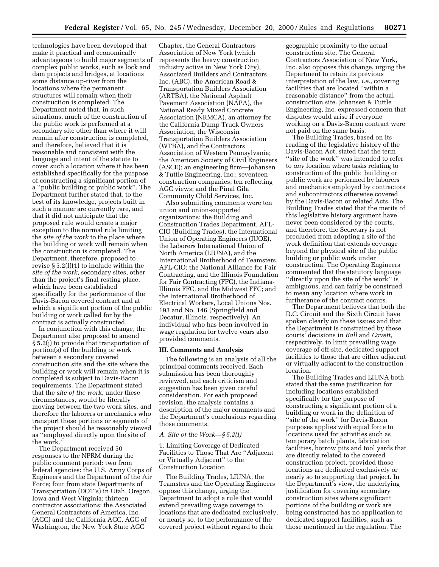technologies have been developed that make it practical and economically advantageous to build major segments of complex public works, such as lock and dam projects and bridges, at locations some distance up-river from the locations where the permanent structures will remain when their construction is completed. The Department noted that, in such situations, much of the construction of the public work is performed at a secondary site other than where it will remain after construction is completed, and therefore, believed that it is reasonable and consistent with the language and intent of the statute to cover such a location where it has been established specifically for the purpose of constructing a significant portion of a ''public building or public work''. The Department further stated that, to the best of its knowledge, projects built in such a manner are currently rare, and that it did not anticipate that the proposed rule would create a major exception to the normal rule limiting the *site of the work* to the place where the building or work will remain when the construction is completed. The Department, therefore, proposed to revise § 5.2(l)(1) to include within the *site of the work*, secondary sites, other than the project's final resting place, which have been established specifically for the performance of the Davis-Bacon covered contract and at which a significant portion of the public building or work called for by the contract is actually constructed.

In conjunction with this change, the Department also proposed to amend § 5.2(j) to provide that transportation of portion(s) of the building or work between a secondary covered construction site and the site where the building or work will remain when it is completed is subject to Davis-Bacon requirements. The Department stated that the *site of the work*, under these circumstances, would be literally moving between the two work sites, and therefore the laborers or mechanics who transport these portions or segments of the project should be reasonably viewed as ''employed directly upon the site of the work.''

The Department received 50 responses to the NPRM during the public comment period: two from federal agencies: the U.S. Army Corps of Engineers and the Department of the Air Force; four from state Departments of Transportation (DOT's) in Utah, Oregon, Iowa and West Virginia; thirteen contractor associations: the Associated General Contractors of America, Inc. (AGC) and the California AGC, AGC of Washington, the New York State AGC

Chapter, the General Contractors Association of New York (which represents the heavy construction industry active in New York City), Associated Builders and Contractors, Inc. (ABC), the American Road & Transportation Builders Association (ARTBA), the National Asphalt Pavement Association (NAPA), the National Ready Mixed Concrete Association (NRMCA), an attorney for the California Dump Truck Owners Association, the Wisconsin Transportation Builders Association (WTBA), and the Contractors Association of Western Pennsylvania; the American Society of Civil Engineers (ASCE); an engineering firm—Johansen & Tuttle Engineering, Inc.; seventeen construction companies, ten reflecting AGC views; and the Pinal Gila Community Child Services, Inc.

Also submitting comments were ten union and union-supported organizations: the Building and Construction Trades Department, AFL-CIO (Building Trades), the International Union of Operating Engineers (IUOE), the Laborers International Union of North America (LIUNA), and the International Brotherhood of Teamsters, AFL-CIO; the National Alliance for Fair Contracting, and the Illinois Foundation for Fair Contracting (FFC), the Indiana-Illinois FFC, and the Midwest FFC; and the International Brotherhood of Electrical Workers, Local Unions Nos. 193 and No. 146 (Springfield and Decatur, Illinois, respectively). An individual who has been involved in wage regulation for twelve years also provided comments.

#### **III. Comments and Analysis**

The following is an analysis of all the principal comments received. Each submission has been thoroughly reviewed, and each criticism and suggestion has been given careful consideration. For each proposed revision, the analysis contains a description of the major comments and the Department's conclusions regarding those comments.

#### *A. Site of the Work—§ 5.2(l)*

1. Limiting Coverage of Dedicated Facilities to Those That Are ''Adjacent or Virtually Adjacent'' to the Construction Location

The Building Trades, LIUNA, the Teamsters and the Operating Engineers oppose this change, urging the Department to adopt a rule that would extend prevailing wage coverage to locations that are dedicated exclusively, or nearly so, to the performance of the covered project without regard to their

geographic proximity to the actual construction site. The General Contractors Association of New York, Inc. also opposes this change, urging the Department to retain its previous interpretation of the law, *i.e.,* covering facilities that are located ''within a reasonable distance'' from the actual construction site. Johansen & Tuttle Engineering, Inc. expressed concern that disputes would arise if everyone working on a Davis-Bacon contract were not paid on the same basis.

The Building Trades, based on its reading of the legislative history of the Davis-Bacon Act, stated that the term "site of the work" was intended to refer to *any* location where tasks relating to construction of the public building or public work are performed by laborers and mechanics employed by contractors and subcontractors otherwise covered by the Davis-Bacon or related Acts. The Building Trades stated that the merits of this legislative history argument have never been considered by the courts, and therefore, the Secretary is not precluded from adopting a site of the work definition that extends coverage beyond the physical site of the public building or public work under construction. The Operating Engineers commented that the statutory language ''directly upon the site of the work'' is ambiguous, and can fairly be construed to mean any location where work in furtherance of the contract occurs.

The Department believes that both the D.C. Circuit and the Sixth Circuit have spoken clearly on these issues and that the Department is constrained by these courts' decisions in *Ball* and *Cavett,* respectively, to limit prevailing wage coverage of off-site, dedicated support facilities to those that are either adjacent or virtually adjacent to the construction location.

The Building Trades and LIUNA both stated that the same justification for including locations established specifically for the purpose of constructing a significant portion of a building or work in the definition of ''site of the work'' for Davis-Bacon purposes applies with equal force to locations used for activities such as temporary batch plants, fabrication facilities, borrow pits and tool yards that are directly related to the covered construction project, provided those locations are dedicated exclusively or nearly so to supporting that project. In the Department's view, the underlying justification for covering secondary construction sites where significant portions of the building or work are being constructed has no application to dedicated support facilities, such as those mentioned in the regulation. The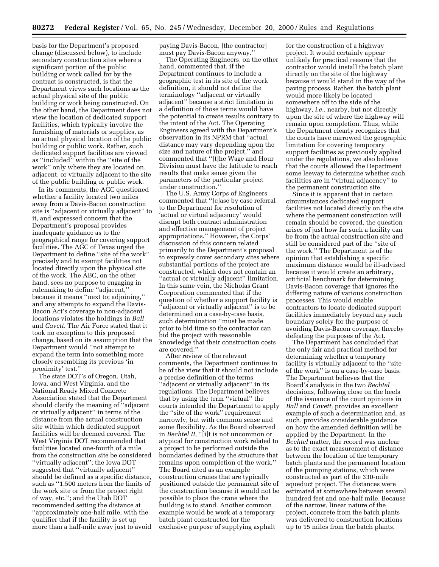basis for the Department's proposed change (discussed below), to include secondary construction sites where a significant portion of the public building or work called for by the contract is constructed, is that the Department views such locations as the actual physical site of the public building or work being constructed. On the other hand, the Department does not view the location of dedicated support facilities, which typically involve the furnishing of materials or supplies, as an actual physical location of the public building or public work. Rather, such dedicated support facilities are viewed as ''included'' within the ''site of the work'' only where they are located on, adjacent, or virtually adjacent to the site of the public building or public work.

In its comments, the AGC questioned whether a facility located two miles away from a Davis-Bacon construction site is ''adjacent or virtually adjacent'' to it, and expressed concern that the Department's proposal provides inadequate guidance as to the geographical range for covering support facilities. The AGC of Texas urged the Department to define ''site of the work'' precisely and to exempt facilities not located directly upon the physical site of the work. The ABC, on the other hand, sees no purpose to engaging in rulemaking to define ''adjacent,'' because it means ''next to; adjoining,'' and any attempts to expand the Davis-Bacon Act's coverage to non-adjacent locations violates the holdings in *Ball* and *Cavett*. The Air Force stated that it took no exception to this proposed change, based on its assumption that the Department would ''not attempt to expand the term into something more closely resembling its previous 'in proximity' test.''

The state DOT's of Oregon, Utah, Iowa, and West Virginia, and the National Ready Mixed Concrete Association stated that the Department should clarify the meaning of ''adjacent or virtually adjacent'' in terms of the distance from the actual construction site within which dedicated support facilities will be deemed covered. The West Virginia DOT recommended that facilities located one-fourth of a mile from the construction site be considered ''virtually adjacent''; the Iowa DOT suggested that ''virtually adjacent'' should be defined as a specific distance, such as ''1,500 meters from the limits of the work site or from the project right of way, etc.''; and the Utah DOT recommended setting the distance at ''approximately one-half mile, with the qualifier that if the facility is set up more than a half-mile away just to avoid

paying Davis-Bacon, [the contractor] must pay Davis-Bacon anyway.''

The Operating Engineers, on the other hand, commented that, if the Department continues to include a geographic test in its site of the work definition, it should not define the terminology ''adjacent or virtually adjacent'' because a strict limitation in a definition of those terms would have the potential to create results contrary to the intent of the Act. The Operating Engineers agreed with the Department's observation in its NPRM that ''actual distance may vary depending upon the size and nature of the project,'' and commented that ''[t]he Wage and Hour Division must have the latitude to reach results that make sense given the parameters of the particular project under construction.''

The U.S. Army Corps of Engineers commented that ''[c]ase by case referral to the Department for resolution of 'actual or virtual adjacency' would disrupt both contract administration and effective management of project appropriations.'' However, the Corps' discussion of this concern related primarily to the Department's proposal to expressly cover secondary sites where substantial portions of the project are constructed, which does not contain an "actual or virtually adjacent" limitation. In this same vein, the Nicholas Grant Corporation commented that if the question of whether a support facility is ''adjacent or virtually adjacent'' is to be determined on a case-by-case basis, such determination ''must be made prior to bid time so the contractor can bid the project with reasonable knowledge that their construction costs are covered.''

After review of the relevant comments, the Department continues to be of the view that it should not include a precise definition of the terms ''adjacent or virtually adjacent'' in its regulations. The Department believes that by using the term ''virtual'' the courts intended the Department to apply the ''site of the work'' requirement narrowly, but with common sense and some flexibility. As the Board observed in *Bechtel II*, ''[i]t is not uncommon or atypical for construction work related to a project to be performed outside the boundaries defined by the structure that remains upon completion of the work.'' The Board cited as an example construction cranes that are typically positioned outside the permanent site of the construction because it would not be possible to place the crane where the building is to stand. Another common example would be work at a temporary batch plant constructed for the exclusive purpose of supplying asphalt

for the construction of a highway project. It would certainly appear unlikely for practical reasons that the contractor would install the batch plant directly on the site of the highway because it would stand in the way of the paving process. Rather, the batch plant would more likely be located somewhere off to the side of the highway, *i.e.,* nearby, but not directly upon the site of where the highway will remain upon completion. Thus, while the Department clearly recognizes that the courts have narrowed the geographic limitation for covering temporary support facilities as previously applied under the regulations, we also believe that the courts allowed the Department some leeway to determine whether such facilities are in ''virtual adjacency'' to the permanent construction site.

Since it is apparent that in certain circumstances dedicated support facilities not located directly on the site where the permanent construction will remain should be covered, the question arises of just how far such a facility can be from the actual construction site and still be considered part of the ''site of the work.'' The Department is of the opinion that establishing a specific maximum distance would be ill-advised because it would create an arbitrary, artificial benchmark for determining Davis-Bacon coverage that ignores the differing nature of various construction processes. This would enable contractors to locate dedicated support facilities immediately beyond any such boundary solely for the purpose of avoiding Davis-Bacon coverage, thereby defeating the purposes of the Act.

The Department has concluded that the only fair and practical method for determining whether a temporary facility is virtually adjacent to the ''site of the work'' is on a case-by-case basis. The Department believes that the Board's analysis in the two *Bechtel* decisions, following close on the heels of the issuance of the court opinions in *Ball* and *Cavett,* provides an excellent example of such a determination and, as such, provides considerable guidance on how the amended definition will be applied by the Department. In the *Bechtel* matter, the record was unclear as to the exact measurement of distance between the location of the temporary batch plants and the permanent location of the pumping stations, which were constructed as part of the 330-mile aqueduct project. The distances were estimated at somewhere between several hundred feet and one-half mile. Because of the narrow, linear nature of the project, concrete from the batch plants was delivered to construction locations up to 15 miles from the batch plants.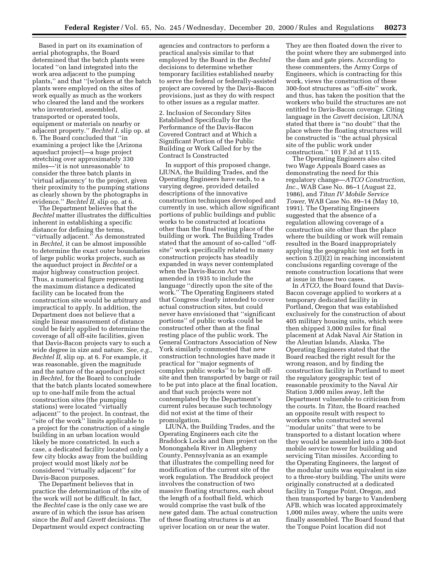Based in part on its examination of aerial photographs, the Board determined that the batch plants were located ''on land integrated into the work area adjacent to the pumping plants,'' and that ''[w]orkers at the batch plants were employed on the sites of work equally as much as the workers who cleared the land and the workers who inventoried, assembled, transported or operated tools, equipment or materials on nearby or adjacent property.'' *Bechtel I,* slip op. at 6. The Board concluded that ''in examining a project like the [Arizona aqueduct project]—a huge project stretching over approximately 330 miles—'it is not unreasonable' to consider the three batch plants in 'virtual adjacency' to the project, given their proximity to the pumping stations as clearly shown by the photographs in evidence.'' *Bechtel II,* slip op. at 6.

The Department believes that the *Bechtel* matter illustrates the difficulties inherent in establishing a specific distance for defining the terms, ''virtually adjacent.'' As demonstrated in *Bechtel,* it can be almost impossible to determine the exact outer boundaries of large public works projects, such as the aqueduct project in *Bechtel* or a major highway construction project. Thus, a numerical figure representing the maximum distance a dedicated facility can be located from the construction site would be arbitrary and impractical to apply. In addition, the Department does not believe that a single linear measurement of distance could be fairly applied to determine the coverage of all off-site facilities, given that Davis-Bacon projects vary to such a wide degree in size and nature. *See, e.g., Bechtel II,* slip op. at 6. For example, it was reasonable, given the magnitude and the nature of the aqueduct project in *Bechtel,* for the Board to conclude that the batch plants located somewhere up to one-half mile from the actual construction sites (the pumping stations) were located ''virtually adjacent'' to the project. In contrast, the ''site of the work'' limits applicable to a project for the construction of a single building in an urban location would likely be more constricted. In such a case, a dedicated facility located only a few city blocks away from the building project would most likely *not* be considered ''virtually adjacent'' for Davis-Bacon purposes.

The Department believes that in practice the determination of the site of the work will not be difficult. In fact, the *Bechtel* case is the only case we are aware of in which the issue has arisen since the *Ball* and *Cavett* decisions. The Department would expect contracting

agencies and contractors to perform a practical analysis similar to that employed by the Board in the *Bechtel* decisions to determine whether temporary facilities established nearby to serve the federal or federally-assisted project are covered by the Davis-Bacon provisions, just as they do with respect to other issues as a regular matter.

2. Inclusion of Secondary Sites Established Specifically for the Performance of the Davis-Bacon Covered Contract and at Which a Significant Portion of the Public Building or Work Called for by the Contract Is Constructed

In support of this proposed change, LIUNA, the Building Trades, and the Operating Engineers have each, to a varying degree, provided detailed descriptions of the innovative construction techniques developed and currently in use, which allow significant portions of public buildings and public works to be constructed at locations other than the final resting place of the building or work. The Building Trades stated that the amount of so-called ''offsite'' work specifically related to many construction projects has steadily expanded in ways never contemplated when the Davis-Bacon Act was amended in 1935 to include the language ''directly upon the site of the work.'' The Operating Engineers stated that Congress clearly intended to cover actual construction sites, but could never have envisioned that ''significant portions'' of public works could be constructed other than at the final resting place of the public work. The General Contractors Association of New York similarly commented that new construction technologies have made it practical for ''major segments of complex public works'' to be built offsite and then transported by barge or rail to be put into place at the final location, and that such projects were not contemplated by the Department's current rules because such technology did not exist at the time of their promulgation.

LIUNA, the Building Trades, and the Operating Engineers each cite the Braddock Locks and Dam project on the Monongahela River in Allegheny County, Pennsylvania as an example that illustrates the compelling need for modification of the current site of the work regulation. The Braddock project involves the construction of two massive floating structures, each about the length of a football field, which would comprise the vast bulk of the new gated dam. The actual construction of these floating structures is at an upriver location on or near the water.

They are then floated down the river to the point where they are submerged into the dam and gate piers. According to these commenters, the Army Corps of Engineers, which is contracting for this work, views the construction of these 300-foot structures as ''off-site'' work, and thus, has taken the position that the workers who build the structures are not entitled to Davis-Bacon coverage. Citing language in the *Cavett* decision, LIUNA stated that there is ''no doubt'' that the place where the floating structures will be constructed is ''the actual physical site of the public work under construction.'' 101 F.3d at 1115.

The Operating Engineers also cited two Wage Appeals Board cases as demonstrating the need for this regulatory change—*ATCO Construction, Inc.*, WAB Case No. 86–1 (August 22, 1986), and *Titan IV Mobile Service Tower,* WAB Case No. 89–14 (May 10, 1991). The Operating Engineers suggested that the absence of a regulation allowing coverage of a construction site other than the place where the building or work will remain resulted in the Board inappropriately applying the geographic test set forth in section 5.2(l)(2) in reaching inconsistent conclusions regarding coverage of the remote construction locations that were at issue in those two cases.

In *ATCO,* the Board found that Davis-Bacon coverage applied to workers at a temporary dedicated facility in Portland, Oregon that was established exclusively for the construction of about 405 military housing units, which were then shipped 3,000 miles for final placement at Adak Naval Air Station in the Aleutian Islands, Alaska. The Operating Engineers stated that the Board reached the right result for the wrong reason, and by finding the construction facility in Portland to meet the regulatory geographic test of reasonable proximity to the Naval Air Station 3,000 miles away, left the Department vulnerable to criticism from the courts. In *Titan,* the Board reached an opposite result with respect to workers who constructed several ''modular units'' that were to be transported to a distant location where they would be assembled into a 300-foot mobile service tower for building and servicing Titan missiles. According to the Operating Engineers, the largest of the modular units was equivalent in size to a three-story building. The units were originally constructed at a dedicated facility in Tongue Point, Oregon, and then transported by barge to Vandenberg AFB, which was located approximately 1,000 miles away, where the units were finally assembled. The Board found that the Tongue Point location did not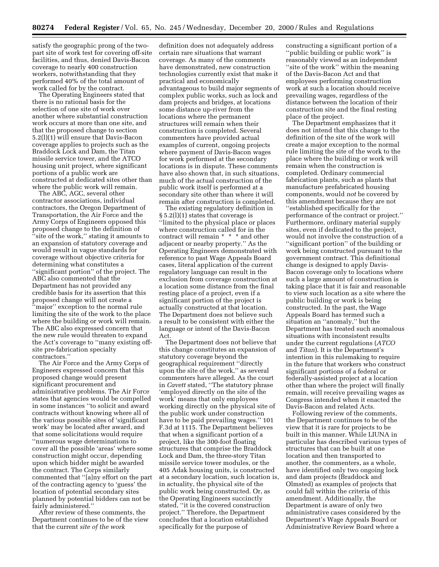satisfy the geographic prong of the twopart site of work test for covering off-site facilities, and thus, denied Davis-Bacon coverage to nearly 400 construction workers, notwithstanding that they performed 40% of the total amount of work called for by the contract.

The Operating Engineers stated that there is no rational basis for the selection of one site of work over another where substantial construction work occurs at more than one site, and that the proposed change to section 5.2(l)(1) will ensure that Davis-Bacon coverage applies to projects such as the Braddock Lock and Dam, the Titan missile service tower, and the ATCO housing unit project, where significant portions of a public work are constructed at dedicated sites other than where the public work will remain.

The ABC, AGC, several other contractor associations, individual contractors, the Oregon Department of Transportation, the Air Force and the Army Corps of Engineers opposed this proposed change to the definition of ''site of the work,'' stating it amounts to an expansion of statutory coverage and would result in vague standards for coverage without objective criteria for determining what constitutes a ''significant portion'' of the project. The ABC also commented that the Department has not provided any credible basis for its assertion that this proposed change will not create a ''major'' exception to the normal rule limiting the site of the work to the place where the building or work will remain. The ABC also expressed concern that the new rule would threaten to expand the Act's coverage to ''many existing offsite pre-fabrication specialty contractors.''

The Air Force and the Army Corps of Engineers expressed concern that this proposed change would present significant procurement and administrative problems. The Air Force states that agencies would be compelled in some instances ''to solicit and award contracts without knowing where all of the various possible sites of 'significant work' may be located after award, and that some solicitations would require ''numerous wage determinations to cover all the possible 'areas' where some construction might occur, depending upon which bidder might be awarded the contract. The Corps similarly commented that ''[a]ny effort on the part of the contracting agency to 'guess' the location of potential secondary sites planned by potential bidders can not be fairly administered.''

After review of these comments, the Department continues to be of the view that the current *site of the work*

definition does not adequately address certain rare situations that warrant coverage. As many of the comments have demonstrated, new construction technologies currently exist that make it practical and economically advantageous to build major segments of complex public works, such as lock and dam projects and bridges, at locations some distance up-river from the locations where the permanent structures will remain when their construction is completed. Several commenters have provided actual examples of current, ongoing projects where payment of Davis-Bacon wages for work performed at the secondary locations is in dispute. These comments have also shown that, in such situations, much of the actual construction of the public work itself is performed at a secondary site other than where it will remain after construction is completed.

The existing regulatory definition in § 5.2(l)(1) states that coverage is ''limited to the physical place or places where construction called for in the contract will remain \* \* \* and other adjacent or nearby property.'' As the Operating Engineers demonstrated with reference to past Wage Appeals Board cases, literal application of the current regulatory language can result in the exclusion from coverage construction at a location some distance from the final resting place of a project, even if a significant portion of the project is actually constructed at that location. The Department does not believe such a result to be consistent with either the language or intent of the Davis-Bacon Act.

The Department does not believe that this change constitutes an expansion of statutory coverage beyond the geographical requirement ''directly upon the site of the work,'' as several commenters have alleged. As the court in *Cavett* stated, ''The statutory phrase 'employed directly on the site of the work' means that only employees working directly on the physical site of the public work under construction have to be paid prevailing wages.'' 101 F.3d at 1115. The Department believes that when a significant portion of a project, like the 300-foot floating structures that comprise the Braddock Lock and Dam, the three-story Titan missile service tower modules, or the 405 Adak housing units, is constructed at a secondary location, such location is, in actuality, the physical site of the public work being constructed. Or, as the Operating Engineers succinctly stated, "it is the covered construction project.'' Therefore, the Department concludes that a location established specifically for the purpose of

constructing a significant portion of a ''public building or public work'' is reasonably viewed as an independent "site of the work" within the meaning of the Davis-Bacon Act and that employees performing construction work at such a location should receive prevailing wages, regardless of the distance between the location of their construction site and the final resting place of the project.

The Department emphasizes that it does not intend that this change to the definition of the site of the work will create a major exception to the normal rule limiting the site of the work to the place where the building or work will remain when the construction is completed. Ordinary commercial fabrication plants, such as plants that manufacture prefabricated housing components, would *not* be covered by this amendment because they are not ''established specifically for the performance of the contract or project.'' Furthermore, ordinary material supply sites, even if dedicated to the project, would not involve the construction of a ''significant portion'' of the building or work being constructed pursuant to the government contract. This definitional change is designed to apply Davis-Bacon coverage only to locations where such a large amount of construction is taking place that it is fair and reasonable to view such location as a site where the public building or work is being constructed. In the past, the Wage Appeals Board has termed such a situation an ''anomaly,'' but the Department has treated such anomalous situations with inconsistent results under the current regulations (*ATCO* and *Titan*). It is the Department's intention in this rulemaking to require in the future that workers who construct significant portions of a federal or federally-assisted project at a location other than where the project will finally remain, will receive prevailing wages as Congress intended when it enacted the Davis-Bacon and related Acts.

Following review of the comments, the Department continues to be of the view that it is rare for projects to be built in this manner. While LIUNA in particular has described various types of structures that can be built at one location and then transported to another, the commenters, as a whole, have identified only two ongoing lock and dam projects (Braddock and Olmsted) as examples of projects that could fall within the criteria of this amendment. Additionally, the Department is aware of only two administrative cases considered by the Department's Wage Appeals Board or Administrative Review Board where a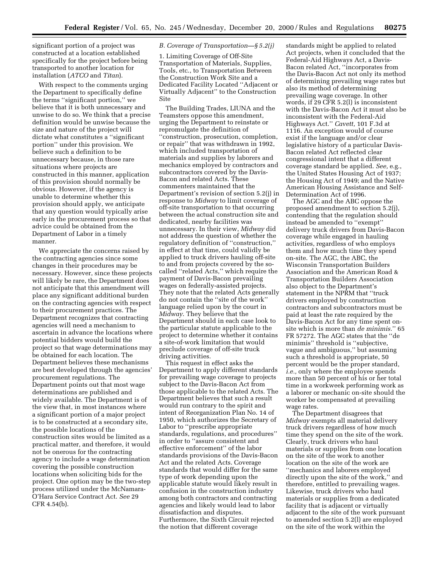significant portion of a project was constructed at a location established specifically for the project before being transported to another location for installation (*ATCO* and *Titan*).

With respect to the comments urging the Department to specifically define the terms ''significant portion,'' we believe that it is both unnecessary and unwise to do so. We think that a precise definition would be unwise because the size and nature of the project will dictate what constitutes a ''significant portion'' under this provision. We believe such a definition to be unnecessary because, in those rare situations where projects are constructed in this manner, application of this provision should normally be obvious. However, if the agency is unable to determine whether this provision should apply, we anticipate that any question would typically arise early in the procurement process so that advice could be obtained from the Department of Labor in a timely manner.

We appreciate the concerns raised by the contracting agencies since some changes in their procedures may be necessary. However, since these projects will likely be rare, the Department does not anticipate that this amendment will place any significant additional burden on the contracting agencies with respect to their procurement practices. The Department recognizes that contracting agencies will need a mechanism to ascertain in advance the locations where potential bidders would build the project so that wage determinations may be obtained for each location. The Department believes these mechanisms are best developed through the agencies' procurement regulations. The Department points out that most wage determinations are published and widely available. The Department is of the view that, in most instances where a significant portion of a major project is to be constructed at a secondary site, the possible locations of the construction sites would be limited as a practical matter, and therefore, it would not be onerous for the contracting agency to include a wage determination covering the possible construction locations when soliciting bids for the project. One option may be the two-step process utilized under the McNamara-O'Hara Service Contract Act. *See* 29 CFR 4.54(b).

#### *B. Coverage of Transportation—§ 5.2(j)*

1. Limiting Coverage of Off-Site Transportation of Materials, Supplies, Tools, etc., to Transportation Between the Construction Work Site and a Dedicated Facility Located ''Adjacent or Virtually Adjacent'' to the Construction Site

The Building Trades, LIUNA and the Teamsters oppose this amendment, urging the Department to reinstate or repromulgate the definition of ''construction, prosecution, completion, or repair'' that was withdrawn in 1992, which included transportation of materials and supplies by laborers and mechanics employed by contractors and subcontractors covered by the Davis-Bacon and related Acts. These commenters maintained that the Department's revision of section 5.2(j) in response to *Midway* to limit coverage of off-site transportation to that occurring between the actual construction site and dedicated, nearby facilities was unnecessary. In their view, *Midway* did not address the question of whether the regulatory definition of ''construction,'' in effect at that time, could validly be applied to truck drivers hauling off-site to and from projects covered by the socalled ''related Acts,'' which require the payment of Davis-Bacon prevailing wages on federally-assisted projects. They note that the related Acts generally do not contain the ''site of the work'' language relied upon by the court in *Midway*. They believe that the Department should in each case look to the particular statute applicable to the project to determine whether it contains a site-of-work limitation that would preclude coverage of off-site truck driving activities.

This request in effect asks the Department to apply different standards for prevailing wage coverage to projects subject to the Davis-Bacon Act from those applicable to the related Acts. The Department believes that such a result would run contrary to the spirit and intent of Reorganization Plan No. 14 of 1950, which authorizes the Secretary of Labor to ''prescribe appropriate standards, regulations, and procedures'' in order to ''assure consistent and effective enforcement'' of the labor standards provisions of the Davis-Bacon Act and the related Acts. Coverage standards that would differ for the same type of work depending upon the applicable statute would likely result in confusion in the construction industry among both contractors and contracting agencies and likely would lead to labor dissatisfaction and disputes. Furthermore, the Sixth Circuit rejected the notion that different coverage

standards might be applied to related Act projects, when it concluded that the Federal-Aid Highways Act, a Davis-Bacon related Act, ''incorporates from the Davis-Bacon Act not only its method of determining prevailing wage rates but also its method of determining prevailing wage coverage. In other words, if 29 CFR 5.2(l) is inconsistent with the Davis-Bacon Act it must also be inconsistent with the Federal-Aid Highways Act.'' *Cavett,* 101 F.3d at 1116. An exception would of course exist if the language and/or clear legislative history of a particular Davis-Bacon related Act reflected clear congressional intent that a different coverage standard be applied. *See,* e.g., the United States Housing Act of 1937; the Housing Act of 1949; and the Native American Housing Assistance and Self-Determination Act of 1996.

The AGC and the ABC oppose the proposed amendment to section 5.2(j), contending that the regulation should instead be amended to ''exempt'' delivery truck drivers from Davis-Bacon coverage while engaged in hauling activities, regardless of who employs them and how much time they spend on-site. The AGC, the ABC, the Wisconsin Transportation Builders Association and the American Road & Transportation Builders Association also object to the Department's statement in the NPRM that ''truck drivers employed by construction contractors and subcontractors must be paid at least the rate required by the Davis-Bacon Act for any time spent onsite which is more than *de minimis.*'' 65 FR 57272. The AGC states that the ''de minimis'' threshold is ''subjective, vague and ambiguous,'' but assuming such a threshold is appropriate, 50 percent would be the proper standard, *i.e.,* only where the employee spends more than 50 percent of his or her total time in a workweek performing work as a laborer or mechanic on-site should the worker be compensated at prevailing wage rates.

The Department disagrees that *Midway* exempts all material delivery truck drivers regardless of how much time they spend on the site of the work. Clearly, truck drivers who haul materials or supplies from one location on the site of the work to another location on the site of the work are ''mechanics and laborers employed directly upon the site of the work,'' and therefore, entitled to prevailing wages. Likewise, truck drivers who haul materials or supplies from a dedicated facility that is adjacent or virtually adjacent to the site of the work pursuant to amended section 5.2(l) are employed on the site of the work within the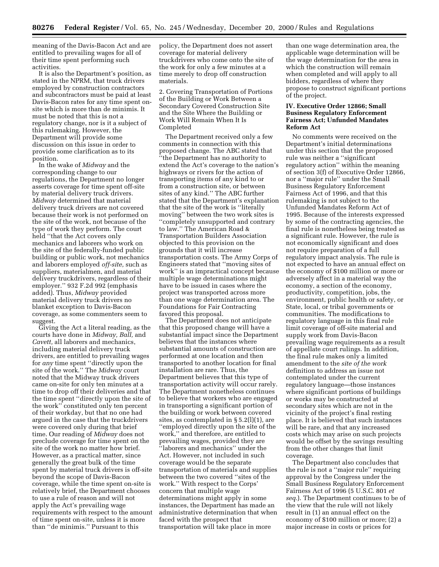meaning of the Davis-Bacon Act and are entitled to prevailing wages for all of their time spent performing such activities.

It is also the Department's position, as stated in the NPRM, that truck drivers employed by construction contractors and subcontractors must be paid at least Davis-Bacon rates for any time spent onsite which is more than de minimis. It must be noted that this is not a regulatory change, nor is it a subject of this rulemaking. However, the Department will provide some discussion on this issue in order to provide some clarification as to its position.

In the wake of *Midway* and the corresponding change to our regulations, the Department no longer asserts coverage for time spent off-site by material delivery truck drivers. *Midway* determined that material delivery truck drivers are not covered because their work is not performed on the site of the work, not because of the type of work they perform. The court held ''that the Act covers only mechanics and laborers who work on the site of the federally-funded public building or public work, not mechanics and laborers employed *off-site,* such as suppliers, materialmen, and material delivery truckdrivers, regardless of their employer.'' 932 F.2d 992 (emphasis added). Thus, *Midway* provided material delivery truck drivers no blanket exception to Davis-Bacon coverage, as some commenters seem to suggest.

Giving the Act a literal reading, as the courts have done in *Midway, Ball,* and *Cavett,* all laborers and mechanics, including material delivery truck drivers, are entitled to prevailing wages for *any* time spent ''directly upon the site of the work.'' The *Midway* court noted that the Midway truck drivers came on-site for only ten minutes at a time to drop off their deliveries and that the time spent ''directly upon the site of the work'' constituted only ten percent of their workday, but that no one had argued in the case that the truckdrivers were covered only during that brief time. Our reading of *Midway* does not preclude coverage for time spent on the site of the work no matter how brief. However, as a practical matter, since generally the great bulk of the time spent by material truck drivers is off-site beyond the scope of Davis-Bacon coverage, while the time spent on-site is relatively brief, the Department chooses to use a rule of reason and will not apply the Act's prevailing wage requirements with respect to the amount of time spent on-site, unless it is more than ''de minimis.'' Pursuant to this

policy, the Department does not assert coverage for material delivery truckdrivers who come onto the site of the work for only a few minutes at a time merely to drop off construction materials.

2. Covering Transportation of Portions of the Building or Work Between a Secondary Covered Construction Site and the Site Where the Building or Work Will Remain When It Is Completed

The Department received only a few comments in connection with this proposed change. The ABC stated that ''the Department has no authority to extend the Act's coverage to the nation's highways or rivers for the action of transporting items of any kind to or from a construction site, or between sites of any kind.'' The ABC further stated that the Department's explanation that the site of the work is ''literally moving'' between the two work sites is ''completely unsupported and contrary to law.'' The American Road & Transportation Builders Association objected to this provision on the grounds that it will increase transportation costs. The Army Corps of Engineers stated that ''moving sites of work'' is an impractical concept because multiple wage determinations might have to be issued in cases where the project was transported across more than one wage determination area. The Foundations for Fair Contracting favored this proposal.

The Department does not anticipate that this proposed change will have a substantial impact since the Department believes that the instances where substantial amounts of construction are performed at one location and then transported to another location for final installation are rare. Thus, the Department believes that this type of transportation activity will occur rarely. The Department nonetheless continues to believe that workers who are engaged in transporting a significant portion of the building or work between covered sites, as contemplated in § 5.2(l)(1), are ''employed directly upon the site of the work,'' and therefore, are entitled to prevailing wages, provided they are ''laborers and mechanics'' under the Act. However, not included in such coverage would be the separate transportation of materials and supplies between the two covered ''sites of the work.'' With respect to the Corps' concern that multiple wage determinations might apply in some instances, the Department has made an administrative determination that when faced with the prospect that transportation will take place in more

than one wage determination area, the applicable wage determination will be the wage determination for the area in which the construction will remain when completed and will apply to all bidders, regardless of where they propose to construct significant portions of the project.

#### **IV. Executive Order 12866; Small Business Regulatory Enforcement Fairness Act; Unfunded Mandates Reform Act**

No comments were received on the Department's initial determinations under this section that the proposed rule was neither a ''significant regulatory action'' within the meaning of section 3(f) of Executive Order 12866, nor a ''major rule'' under the Small Business Regulatory Enforcement Fairness Act of 1996, and that this rulemaking is not subject to the Unfunded Mandates Reform Act of 1995. Because of the interests expressed by some of the contracting agencies, the final rule is nonetheless being treated as a significant rule. However, the rule is not economically significant and does not require preparation of a full regulatory impact analysis. The rule is not expected to have an annual effect on the economy of \$100 million or more or adversely affect in a material way the economy, a section of the economy, productivity, competition, jobs, the environment, public health or safety, or State, local, or tribal governments or communities. The modifications to regulatory language in this final rule limit coverage of off-site material and supply work from Davis-Bacon prevailing wage requirements as a result of appellate court rulings. In addition, the final rule makes only a limited amendment to the *site of the work* definition to address an issue not contemplated under the current regulatory language—those instances where significant portions of buildings or works may be constructed at secondary sites which are not in the vicinity of the project's final resting place. It is believed that such instances will be rare, and that any increased costs which may arise on such projects would be offset by the savings resulting from the other changes that limit coverage.

The Department also concludes that the rule is not a ''major rule'' requiring approval by the Congress under the Small Business Regulatory Enforcement Fairness Act of 1996 (5 U.S.C. 801 *et seq.*). The Department continues to be of the view that the rule will not likely result in (1) an annual effect on the economy of \$100 million or more; (2) a major increase in costs or prices for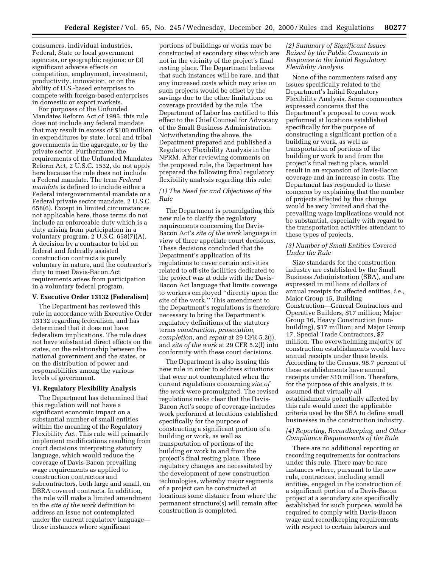consumers, individual industries, Federal, State or local government agencies, or geographic regions; or (3) significant adverse effects on competition, employment, investment, productivity, innovation, or on the ability of U.S.-based enterprises to compete with foreign-based enterprises in domestic or export markets.

For purposes of the Unfunded Mandates Reform Act of 1995, this rule does not include any federal mandate that may result in excess of \$100 million in expenditures by state, local and tribal governments in the aggregate, or by the private sector. Furthermore, the requirements of the Unfunded Mandates Reform Act, 2 U.S.C. 1532, do not apply here because the rule does not include a Federal mandate. The term *Federal mandate* is defined to include either a Federal intergovernmental mandate or a Federal private sector mandate. 2 U.S.C. 658(6). Except in limited circumstances not applicable here, those terms do not include an enforceable duty which is a duty arising from participation in a voluntary program. 2 U.S.C. 658(7)(A). A decision by a contractor to bid on federal and federally assisted construction contracts is purely voluntary in nature, and the contractor's duty to meet Davis-Bacon Act requirements arises from participation in a voluntary federal program.

#### **V. Executive Order 13132 (Federalism)**

The Department has reviewed this rule in accordance with Executive Order 13132 regarding federalism, and has determined that it does not have federalism implications. The rule does not have substantial direct effects on the states, on the relationship between the national government and the states, or on the distribution of power and responsibilities among the various levels of government.

#### **VI. Regulatory Flexibility Analysis**

The Department has determined that this regulation will not have a significant economic impact on a substantial number of small entities within the meaning of the Regulatory Flexibility Act. This rule will primarily implement modifications resulting from court decisions interpreting statutory language, which would reduce the coverage of Davis-Bacon prevailing wage requirements as applied to construction contractors and subcontractors, both large and small, on DBRA covered contracts. In addition, the rule will make a limited amendment to the *site of the work* definition to address an issue not contemplated under the current regulatory language those instances where significant

portions of buildings or works may be constructed at secondary sites which are not in the vicinity of the project's final resting place. The Department believes that such instances will be rare, and that any increased costs which may arise on such projects would be offset by the savings due to the other limitations on coverage provided by the rule. The Department of Labor has certified to this effect to the Chief Counsel for Advocacy of the Small Business Administration. Notwithstanding the above, the Department prepared and published a Regulatory Flexibility Analysis in the NPRM. After reviewing comments on the proposed rule, the Department has prepared the following final regulatory flexibility analysis regarding this rule:

#### *(1) The Need for and Objectives of the Rule*

The Department is promulgating this new rule to clarify the regulatory requirements concerning the Davis-Bacon Act's *site of the work* language in view of three appellate court decisions. These decisions concluded that the Department's application of its regulations to cover certain activities related to off-site facilities dedicated to the project was at odds with the Davis-Bacon Act language that limits coverage to workers employed ''directly upon the site of the work.'' This amendment to the Department's regulations is therefore necessary to bring the Department's regulatory definitions of the statutory terms *construction, prosecution, completion,* and *repair* at 29 CFR 5.2(j), and *site of the work* at 29 CFR 5.2(l) into conformity with these court decisions.

The Department is also issuing this new rule in order to address situations that were not contemplated when the current regulations concerning *site of the work* were promulgated. The revised regulations make clear that the Davis-Bacon Act's scope of coverage includes work performed at locations established specifically for the purpose of constructing a significant portion of a building or work, as well as transportation of portions of the building or work to and from the project's final resting place. These regulatory changes are necessitated by the development of new construction technologies, whereby major segments of a project can be constructed at locations some distance from where the permanent structure(s) will remain after construction is completed.

#### *(2) Summary of Significant Issues Raised by the Public Comments in Response to the Initial Regulatory Flexibility Analysis*

None of the commenters raised any issues specifically related to the Department's Initial Regulatory Flexibility Analysis. Some commenters expressed concerns that the Department's proposal to cover work performed at locations established specifically for the purpose of constructing a significant portion of a building or work, as well as transportation of portions of the building or work to and from the project's final resting place, would result in an expansion of Davis-Bacon coverage and an increase in costs. The Department has responded to these concerns by explaining that the number of projects affected by this change would be very limited and that the prevailing wage implications would not be substantial, especially with regard to the transportation activities attendant to these types of projects.

#### *(3) Number of Small Entities Covered Under the Rule*

Size standards for the construction industry are established by the Small Business Administration (SBA), and are expressed in millions of dollars of annual receipts for affected entities, *i.e.,* Major Group 15, Building Construction—General Contractors and Operative Builders, \$17 million; Major Group 16, Heavy Construction (nonbuilding), \$17 million; and Major Group 17, Special Trade Contractors, \$7 million. The overwhelming majority of construction establishments would have annual receipts under these levels. According to the Census, 98.7 percent of these establishments have annual receipts under \$10 million. Therefore, for the purpose of this analysis, it is assumed that virtually all establishments potentially affected by this rule would meet the applicable criteria used by the SBA to define small businesses in the construction industry.

#### *(4) Reporting, Recordkeeping, and Other Compliance Requirements of the Rule*

There are no additional reporting or recording requirements for contractors under this rule. There may be rare instances where, pursuant to the new rule, contractors, including small entities, engaged in the construction of a significant portion of a Davis-Bacon project at a secondary site specifically established for such purpose, would be required to comply with Davis-Bacon wage and recordkeeping requirements with respect to certain laborers and